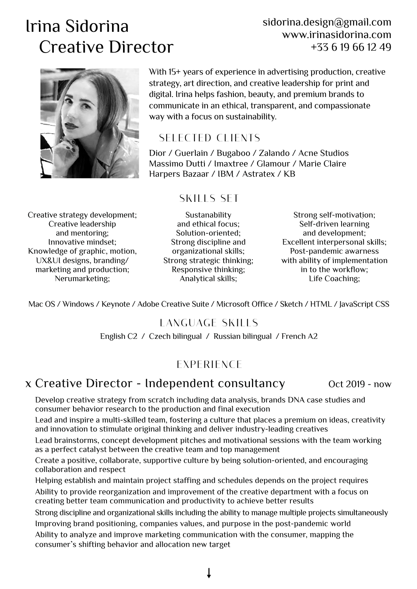# Irina Sidorina Creative Director

#### sidorina.design@gmail.com www.irinasidorina.com +33 6 19 66 12 49



With 15+ years of experience in advertising production, creative strategy, art direction, and creative leadership for print and digital. Irina helps fashion, beauty, and premium brands to communicate in an ethical, transparent, and compassionate way with a focus on sustainability.

## *SELECTED CLIENTS*

Dior / Guerlain / Bugaboo / Zalando / Acne Studios Massimo Dutti / Imaxtree / Glamour / Marie Claire Harpers Bazaar / IBM / Astratex / KB

#### *SKILLS SET*

Creative strategy development; Creative leadership and mentoring; Innovative mindset; Knowledge of graphic, motion, UX&UI designs, branding/ marketing and production; Nerumarketing;

Sustanability and ethical focus; Solution-oriented; Strong discipline and organizational skills; Strong strategic thinking; Responsive thinking; Analytical skills;

Strong self-motivation; Self-driven learning and development; Excellent interpersonal skills; Post-pandemic awarness with ability of implementation in to the workflow; Life Coaching;

Mac OS / Windows / Keynote / Adobe Creative Suite / Microsoft Office / Sketch / HTML / JavaScript CSS

#### *LANGUAGE SKILLS*

English C2 / Czech bilingual / Russian bilingual / French A2

### *EXPERIENCE*

### x Creative Director - Independent consultancy oct 2019 - now

Develop creative strategy from scratch including data analysis, brands DNA case studies and consumer behavior research to the production and final execution

Lead and inspire a multi-skilled team, fostering a culture that places a premium on ideas, creativity and innovation to stimulate original thinking and deliver industry-leading creatives

Lead brainstorms, concept development pitches and motivational sessions with the team working as a perfect catalyst between the creative team and top management

Create a positive, collaborate, supportive culture by being solution-oriented, and encouraging collaboration and respect

Helping establish and maintain project staffing and schedules depends on the project requires Ability to provide reorganization and improvement of the creative department with a focus on creating better team communication and productivity to achieve better results

Strong discipline and organizational skills including the ability to manage multiple projects simultaneously Improving brand positioning, companies values, and purpose in the post-pandemic world

Ability to analyze and improve marketing communication with the consumer, mapping the consumer's shifting behavior and allocation new target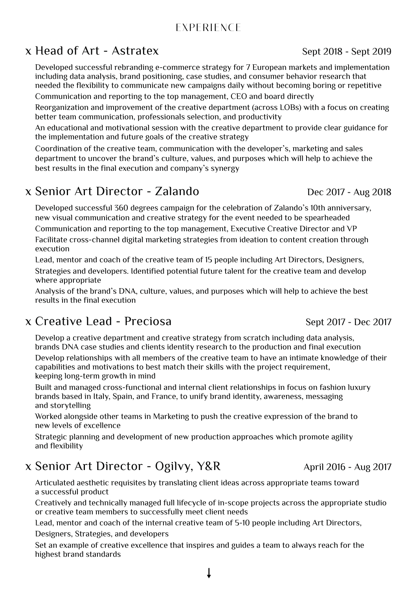#### *EXPERIENCE*

## x Head of Art - Astratex Sept 2018 - Sept 2019

Developed successful rebranding e-commerce strategy for 7 European markets and implementation including data analysis, brand positioning, case studies, and consumer behavior research that needed the flexibility to communicate new campaigns daily without becoming boring or repetitive Communication and reporting to the top management, CEO and board directly

Reorganization and improvement of the creative department (across LOBs) with a focus on creating better team communication, professionals selection, and productivity

An educational and motivational session with the creative department to provide clear guidance for the implementation and future goals of the creative strategy

Coordination of the creative team, communication with the developer's, marketing and sales department to uncover the brand's culture, values, and purposes which will help to achieve the best results in the final execution and company's synergy

## x Senior Art Director - Zalando Dec 2017 - Aug 2018

Developed successful 360 degrees campaign for the celebration of Zalando's 10th anniversary, new visual communication and creative strategy for the event needed to be spearheaded

Communication and reporting to the top management, Executive Creative Director and VP Facilitate cross-channel digital marketing strategies from ideation to content creation through execution

Lead, mentor and coach of the creative team of 15 people including Art Directors, Designers, Strategies and developers. Identified potential future talent for the creative team and develop where appropriate

Analysis of the brand's DNA, culture, values, and purposes which will help to achieve the best results in the final execution

## x Creative Lead - Preciosa Sept 2017 - Dec 2017

Develop a creative department and creative strategy from scratch including data analysis, brands DNA case studies and clients identity research to the production and final execution

Develop relationships with all members of the creative team to have an intimate knowledge of their capabilities and motivations to best match their skills with the project requirement, keeping long-term growth in mind

Built and managed cross-functional and internal client relationships in focus on fashion luxury brands based in Italy, Spain, and France, to unify brand identity, awareness, messaging and storytelling

Worked alongside other teams in Marketing to push the creative expression of the brand to new levels of excellence

Strategic planning and development of new production approaches which promote agility and flexibility

## x Senior Art Director - Ogilvy, Y&R April 2016 - Aug 2017

Articulated aesthetic requisites by translating client ideas across appropriate teams toward a successful product

Creatively and technically managed full lifecycle of in-scope projects across the appropriate studio or creative team members to successfully meet client needs

Lead, mentor and coach of the internal creative team of 5-10 people including Art Directors,

Designers, Strategies, and developers

Set an example of creative excellence that inspires and guides a team to always reach for the highest brand standards